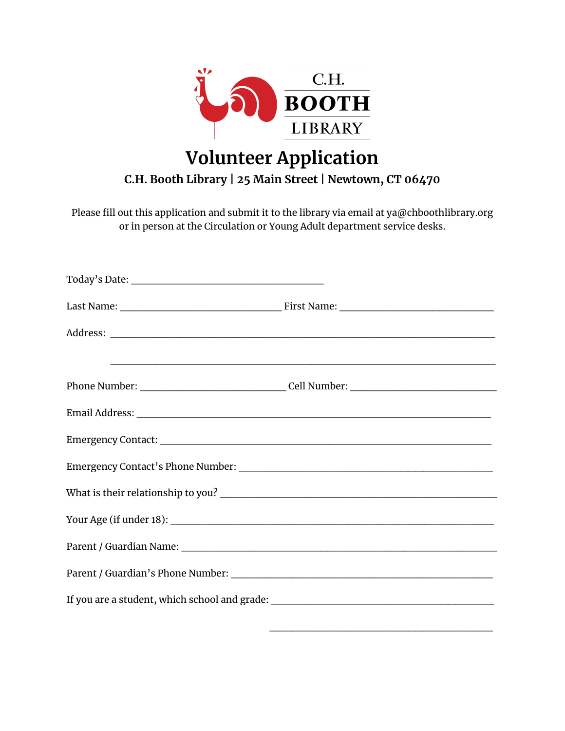

## **Volunteer Application**

## **C.H. Booth Library | 25 Main Street | Newtown, CT 06470**

Please fill out this application and submit it to the library via email at ya@chboothlibrary.org or in person at the Circulation or Young Adult department service desks.

| <u> 1989 - Johann Stoff, deutscher Stoffen und der Stoffen und der Stoffen und der Stoffen und der Stoffen und der Stoffen und der Stoffen und der Stoffen und der Stoffen und der Stoffen und der Stoffen und der Stoffen und d</u> |
|--------------------------------------------------------------------------------------------------------------------------------------------------------------------------------------------------------------------------------------|
|                                                                                                                                                                                                                                      |
|                                                                                                                                                                                                                                      |
|                                                                                                                                                                                                                                      |
|                                                                                                                                                                                                                                      |
|                                                                                                                                                                                                                                      |
|                                                                                                                                                                                                                                      |
|                                                                                                                                                                                                                                      |
|                                                                                                                                                                                                                                      |
| If you are a student, which school and grade: ___________________________________                                                                                                                                                    |

\_\_\_\_\_\_\_\_\_\_\_\_\_\_\_\_\_\_\_\_\_\_\_\_\_\_\_\_\_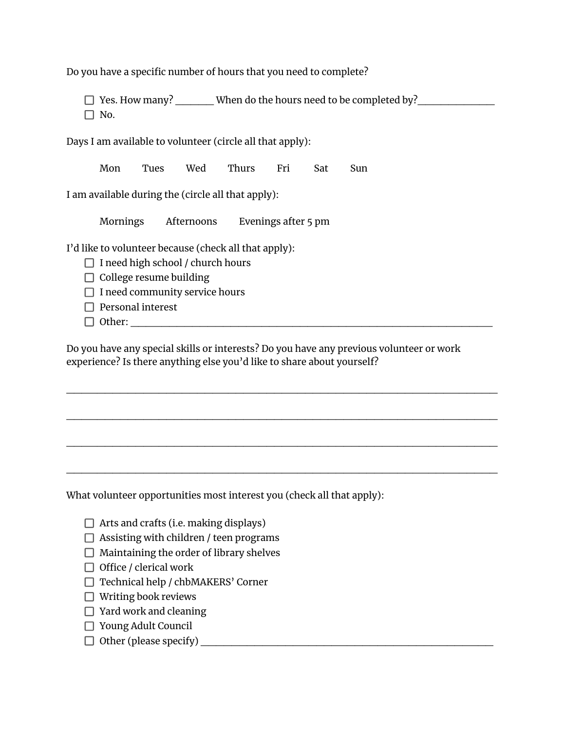Do you have a specific number of hours that you need to complete?

□ Yes. How many? When do the hours need to be completed by? Nest How many?

 $\Box$  No.

Days I am available to volunteer (circle all that apply):

Mon Tues Wed Thurs Fri Sat Sun

I am available during the (circle all that apply):

Mornings Afternoons Evenings after 5 pm

I'd like to volunteer because (check all that apply):

- $\Box$  I need high school / church hours
- $\Box$  College resume building
- $\Box$  I need community service hours
- $\Box$  Personal interest
- $\Box$  Other:

Do you have any special skills or interests? Do you have any previous volunteer or work experience? Is there anything else you'd like to share about yourself?

 $\overline{\phantom{a}}$  , and the contribution of the contribution of the contribution of the contribution of the contribution of the contribution of the contribution of the contribution of the contribution of the contribution of the

 $\overline{\phantom{a}}$  , and the contribution of the contribution of the contribution of the contribution of the contribution of the contribution of the contribution of the contribution of the contribution of the contribution of the

 $\mathcal{L}_\mathcal{L}$  , and the contribution of the contribution of the contribution of the contribution of the contribution of the contribution of the contribution of the contribution of the contribution of the contribution of

 $\mathcal{L}_\mathcal{L}$  , and the contribution of the contribution of the contribution of the contribution of the contribution of the contribution of the contribution of the contribution of the contribution of the contribution of

What volunteer opportunities most interest you (check all that apply):

- $\Box$  Arts and crafts (i.e. making displays)
- $\Box$  Assisting with children / teen programs
- $\Box$  Maintaining the order of library shelves
- $\Box$  Office / clerical work
- $\Box$  Technical help / chbMAKERS' Corner
- $\Box$  Writing book reviews
- $\Box$  Yard work and cleaning
- □ Young Adult Council
- $\Box$  Other (please specify)  $\Box$